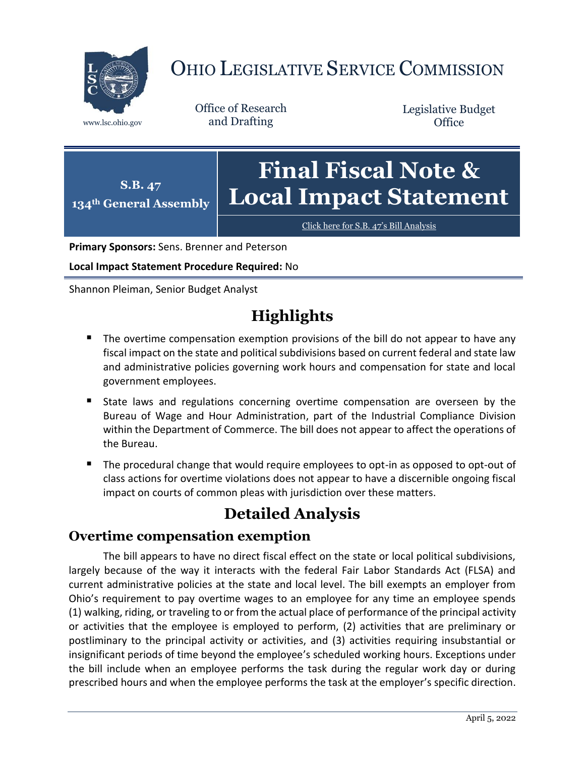

# OHIO LEGISLATIVE SERVICE COMMISSION

Office of Research www.lsc.ohio.gov and Drafting

Legislative Budget **Office** 

**S.B. 47 134th General Assembly Final Fiscal Note & Local Impact Statement**

[Click here for S.B. 47](https://www.legislature.ohio.gov/legislation/legislation-documents?id=GA134-SB-47)'s Bill Analysis

**Primary Sponsors:** Sens. Brenner and Peterson

**Local Impact Statement Procedure Required:** No

Shannon Pleiman, Senior Budget Analyst

## **Highlights**

- The overtime compensation exemption provisions of the bill do not appear to have any fiscal impact on the state and political subdivisions based on current federal and state law and administrative policies governing work hours and compensation for state and local government employees.
- State laws and regulations concerning overtime compensation are overseen by the Bureau of Wage and Hour Administration, part of the Industrial Compliance Division within the Department of Commerce. The bill does not appear to affect the operations of the Bureau.
- The procedural change that would require employees to opt-in as opposed to opt-out of class actions for overtime violations does not appear to have a discernible ongoing fiscal impact on courts of common pleas with jurisdiction over these matters.

### **Detailed Analysis**

#### **Overtime compensation exemption**

The bill appears to have no direct fiscal effect on the state or local political subdivisions, largely because of the way it interacts with the federal Fair Labor Standards Act (FLSA) and current administrative policies at the state and local level. The bill exempts an employer from Ohio's requirement to pay overtime wages to an employee for any time an employee spends (1) walking, riding, or traveling to or from the actual place of performance of the principal activity or activities that the employee is employed to perform, (2) activities that are preliminary or postliminary to the principal activity or activities, and (3) activities requiring insubstantial or insignificant periods of time beyond the employee's scheduled working hours. Exceptions under the bill include when an employee performs the task during the regular work day or during prescribed hours and when the employee performs the task at the employer's specific direction.